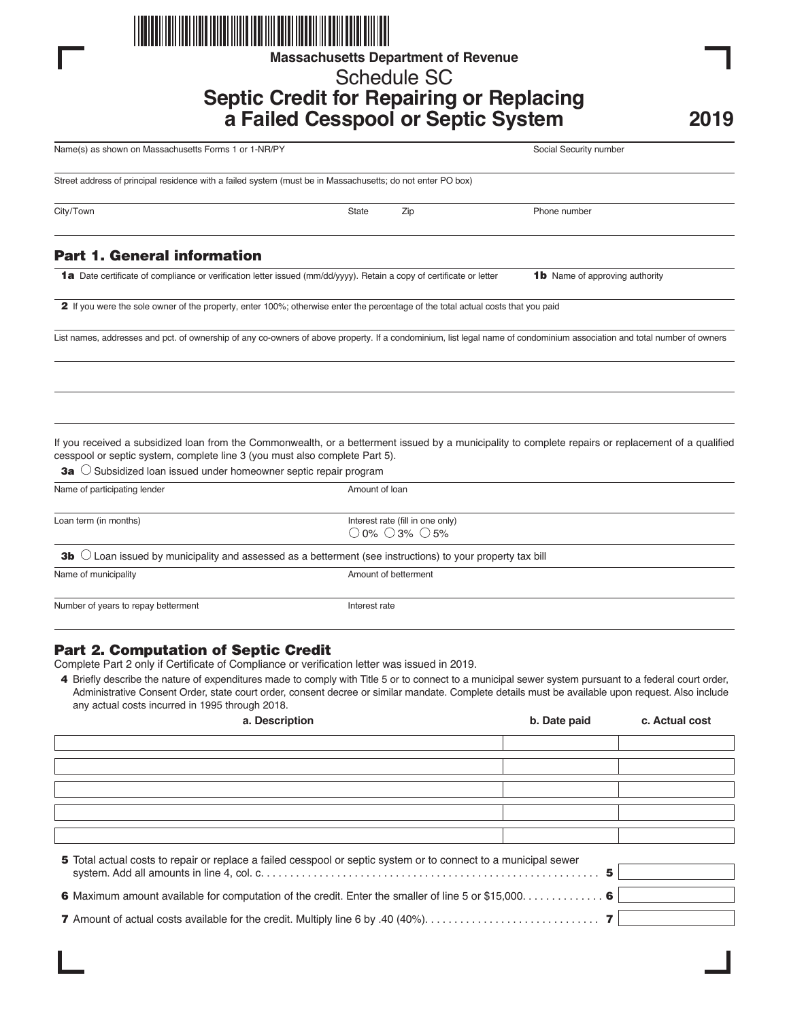

**Massachusetts Department of Revenue**

# Schedule SC **Septic Credit for Repairing or Replacing a Failed Cesspool or Septic System**

**2019**

| Name(s) as shown on Massachusetts Forms 1 or 1-NR/PY                                                                                                                                                                                                                                                                    |                |                                                                               | Social Security number                |  |
|-------------------------------------------------------------------------------------------------------------------------------------------------------------------------------------------------------------------------------------------------------------------------------------------------------------------------|----------------|-------------------------------------------------------------------------------|---------------------------------------|--|
| Street address of principal residence with a failed system (must be in Massachusetts; do not enter PO box)                                                                                                                                                                                                              |                |                                                                               |                                       |  |
| City/Town                                                                                                                                                                                                                                                                                                               | State          | Zip                                                                           | Phone number                          |  |
| <b>Part 1. General information</b>                                                                                                                                                                                                                                                                                      |                |                                                                               |                                       |  |
| 1a Date certificate of compliance or verification letter issued (mm/dd/yyyy). Retain a copy of certificate or letter                                                                                                                                                                                                    |                |                                                                               | <b>1b</b> Name of approving authority |  |
| 2 If you were the sole owner of the property, enter 100%; otherwise enter the percentage of the total actual costs that you paid                                                                                                                                                                                        |                |                                                                               |                                       |  |
| List names, addresses and pct. of ownership of any co-owners of above property. If a condominium, list legal name of condominium association and total number of owners                                                                                                                                                 |                |                                                                               |                                       |  |
|                                                                                                                                                                                                                                                                                                                         |                |                                                                               |                                       |  |
|                                                                                                                                                                                                                                                                                                                         |                |                                                                               |                                       |  |
| If you received a subsidized loan from the Commonwealth, or a betterment issued by a municipality to complete repairs or replacement of a qualified<br>cesspool or septic system, complete line 3 (you must also complete Part 5).<br><b>3a</b> $\bigcirc$ Subsidized loan issued under homeowner septic repair program |                |                                                                               |                                       |  |
| Name of participating lender                                                                                                                                                                                                                                                                                            | Amount of loan |                                                                               |                                       |  |
| Loan term (in months)                                                                                                                                                                                                                                                                                                   |                | Interest rate (fill in one only)<br>$\bigcirc$ 0% $\bigcirc$ 3% $\bigcirc$ 5% |                                       |  |
| <b>3b</b> $\bigcirc$ Loan issued by municipality and assessed as a betterment (see instructions) to your property tax bill                                                                                                                                                                                              |                |                                                                               |                                       |  |
| Name of municipality                                                                                                                                                                                                                                                                                                    |                | Amount of betterment                                                          |                                       |  |
| Number of years to repay betterment                                                                                                                                                                                                                                                                                     | Interest rate  |                                                                               |                                       |  |
| <b>Part 2. Computation of Septic Credit</b>                                                                                                                                                                                                                                                                             |                |                                                                               |                                       |  |

Complete Part 2 only if Certificate of Compliance or verification letter was issued in 2019.

4 Briefly describe the nature of expenditures made to comply with Title 5 or to connect to a municipal sewer system pursuant to a federal court order, Administrative Consent Order, state court order, consent decree or similar mandate. Complete details must be available upon request. Also include any actual costs incurred in 1995 through 2018.

| a. Description                                                                                                  | b. Date paid | c. Actual cost |  |  |
|-----------------------------------------------------------------------------------------------------------------|--------------|----------------|--|--|
|                                                                                                                 |              |                |  |  |
|                                                                                                                 |              |                |  |  |
|                                                                                                                 |              |                |  |  |
|                                                                                                                 |              |                |  |  |
|                                                                                                                 |              |                |  |  |
|                                                                                                                 |              |                |  |  |
|                                                                                                                 |              |                |  |  |
|                                                                                                                 |              |                |  |  |
| 5 Total actual costs to repair or replace a failed cesspool or septic system or to connect to a municipal sewer |              |                |  |  |
|                                                                                                                 |              |                |  |  |
|                                                                                                                 |              |                |  |  |
| <b>6</b> Maximum amount available for computation of the credit. Enter the smaller of line 5 or \$15,000 6      |              |                |  |  |
|                                                                                                                 |              |                |  |  |
|                                                                                                                 |              |                |  |  |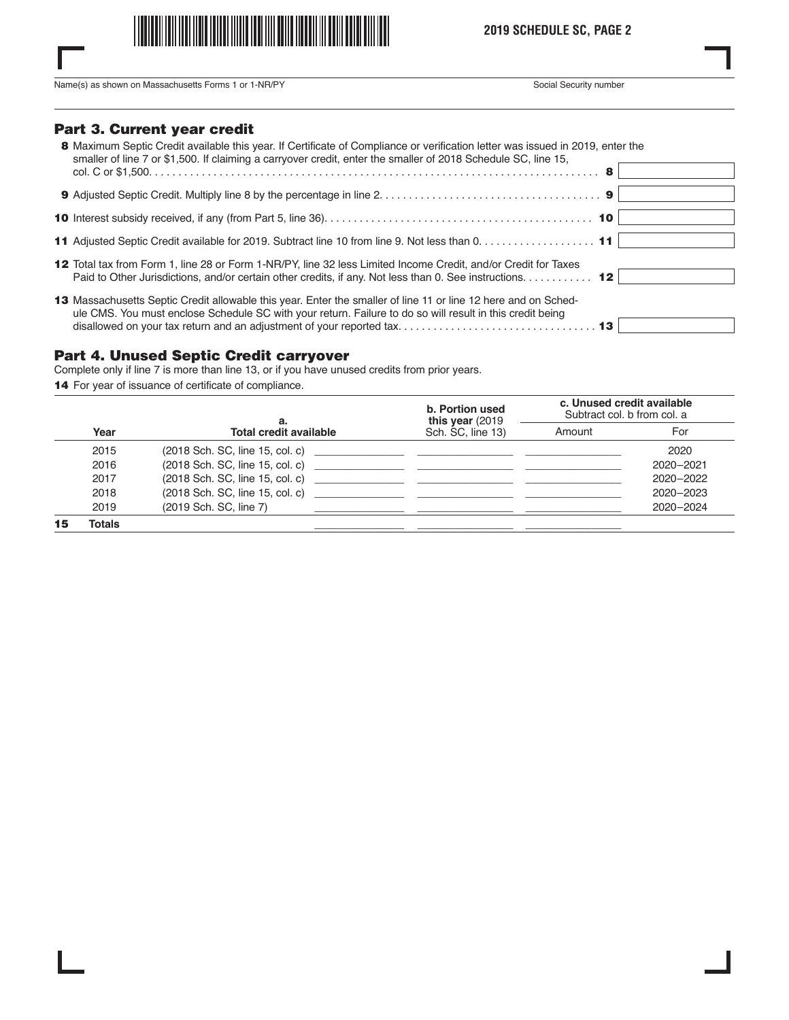

**2019 SCHEDULE SC, PAGE 2**

Name(s) as shown on Massachusetts Forms 1 or 1-NR/PY Social Security number

#### Part 3. Current year credit

| 8 Maximum Septic Credit available this year. If Certificate of Compliance or verification letter was issued in 2019, enter the<br>smaller of line 7 or \$1,500. If claiming a carryover credit, enter the smaller of 2018 Schedule SC, line 15,<br>8 |
|------------------------------------------------------------------------------------------------------------------------------------------------------------------------------------------------------------------------------------------------------|
|                                                                                                                                                                                                                                                      |
|                                                                                                                                                                                                                                                      |
| 11 Adjusted Septic Credit available for 2019. Subtract line 10 from line 9. Not less than 0. 11                                                                                                                                                      |
| 12 Total tax from Form 1, line 28 or Form 1-NR/PY, line 32 less Limited Income Credit, and/or Credit for Taxes<br>Paid to Other Jurisdictions, and/or certain other credits, if any. Not less than 0. See instructions. 12                           |
| 13 Massachusetts Septic Credit allowable this year. Enter the smaller of line 11 or line 12 here and on Sched-<br>ule CMS. You must enclose Schedule SC with your return. Failure to do so will result in this credit being                          |

#### Part 4. Unused Septic Credit carryover

Complete only if line 7 is more than line 13, or if you have unused credits from prior years.

14 For year of issuance of certificate of compliance.

|    |        | а.                            | b. Portion used<br>this year $(2019$ | c. Unused credit available<br>Subtract col. b from col. a |           |  |
|----|--------|-------------------------------|--------------------------------------|-----------------------------------------------------------|-----------|--|
|    | Year   | <b>Total credit available</b> | Sch. SC, line 13)                    | Amount                                                    | For       |  |
|    | 2015   |                               |                                      |                                                           | 2020      |  |
|    | 2016   |                               |                                      |                                                           | 2020-2021 |  |
|    | 2017   |                               |                                      |                                                           | 2020-2022 |  |
|    | 2018   |                               |                                      |                                                           | 2020-2023 |  |
|    | 2019   | (2019 Sch. SC, line 7)        |                                      |                                                           | 2020-2024 |  |
| 15 | Totals |                               |                                      |                                                           |           |  |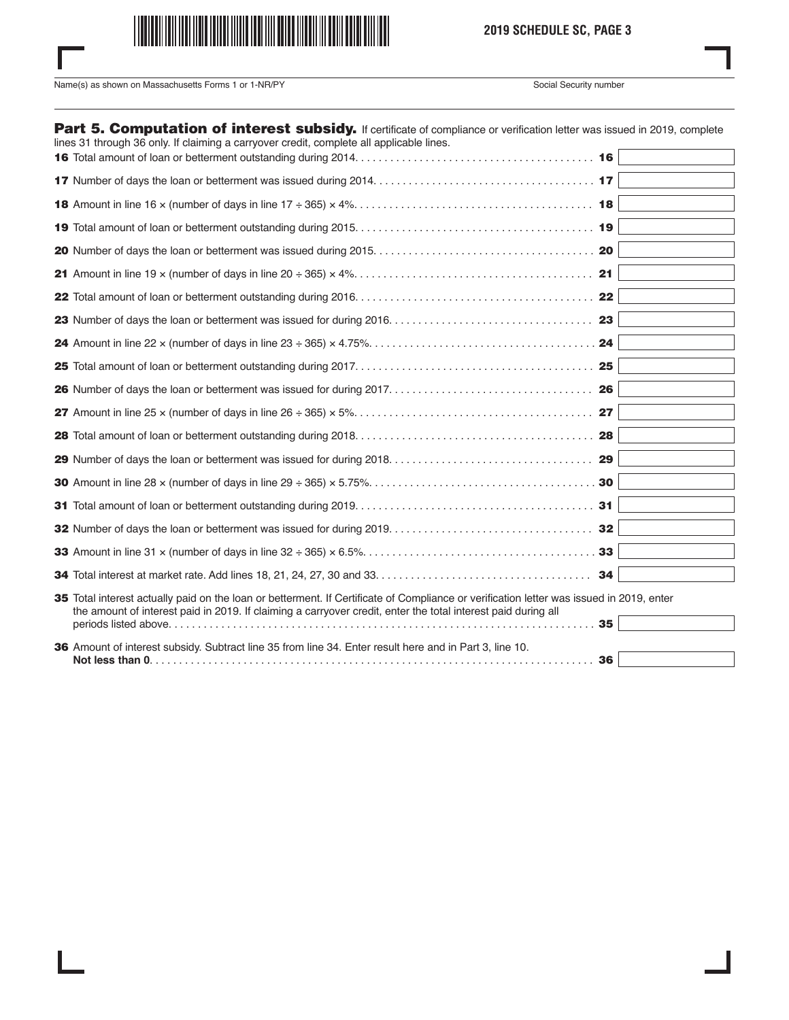

# **2019 SCHEDULE SC, PAGE 3**

Name(s) as shown on Massachusetts Forms 1 or 1-NR/PY Social Security number

| Part 5. Computation of interest subsidy. If certificate of compliance or verification letter was issued in 2019, complete<br>lines 31 through 36 only. If claiming a carryover credit, complete all applicable lines.                                     |    |  |
|-----------------------------------------------------------------------------------------------------------------------------------------------------------------------------------------------------------------------------------------------------------|----|--|
|                                                                                                                                                                                                                                                           |    |  |
|                                                                                                                                                                                                                                                           |    |  |
|                                                                                                                                                                                                                                                           |    |  |
|                                                                                                                                                                                                                                                           |    |  |
|                                                                                                                                                                                                                                                           |    |  |
|                                                                                                                                                                                                                                                           |    |  |
|                                                                                                                                                                                                                                                           |    |  |
|                                                                                                                                                                                                                                                           |    |  |
|                                                                                                                                                                                                                                                           |    |  |
|                                                                                                                                                                                                                                                           |    |  |
|                                                                                                                                                                                                                                                           |    |  |
|                                                                                                                                                                                                                                                           |    |  |
|                                                                                                                                                                                                                                                           |    |  |
|                                                                                                                                                                                                                                                           |    |  |
|                                                                                                                                                                                                                                                           |    |  |
|                                                                                                                                                                                                                                                           |    |  |
|                                                                                                                                                                                                                                                           |    |  |
|                                                                                                                                                                                                                                                           |    |  |
|                                                                                                                                                                                                                                                           | 34 |  |
| 35 Total interest actually paid on the loan or betterment. If Certificate of Compliance or verification letter was issued in 2019, enter<br>the amount of interest paid in 2019. If claiming a carryover credit, enter the total interest paid during all | 35 |  |
| 36 Amount of interest subsidy. Subtract line 35 from line 34. Enter result here and in Part 3, line 10.                                                                                                                                                   | 36 |  |